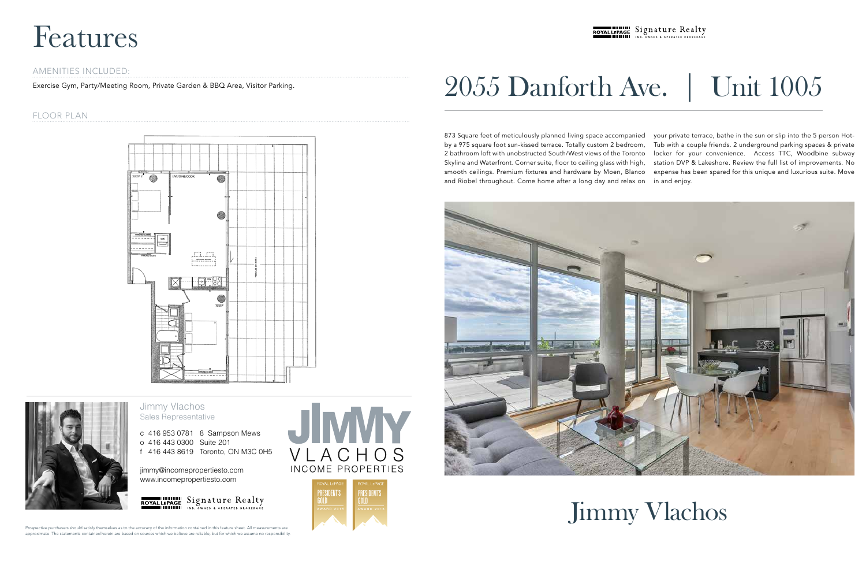873 Square feet of meticulously planned living space accompanied by a 975 square foot sun-kissed terrace. Totally custom 2 bedroom, 2 bathroom loft with unobstructed South/West views of the Toronto Skyline and Waterfront. Corner suite, floor to ceiling glass with high, smooth ceilings. Premium fixtures and hardware by Moen, Blanco and Riobel throughout. Come home after a long day and relax on your private terrace, bathe in the sun or slip into the 5 person Hot-Tub with a couple friends. 2 underground parking spaces & private locker for your convenience. Access TTC, Woodbine subway station DVP & Lakeshore. Review the full list of improvements. No expense has been spared for this unique and luxurious suite. Move in and enjoy.



# 2055 Danforth Ave. | Unit 1005



# Features

Prospective purchasers should satisfy themselves as to the accuracy of the information contained in this feature sheet. All measurements are approximate. The statements contained herein are based on sources which we believe are reliable, but for which we assume no responsibility.

## ROYALLEPAGE Signature Realty

### Jimmy Vlachos Sales Representative

c 416 953 0781 8 Sampson Mews o 416 443 0300 Suite 201 f 416 443 8619 Toronto, ON M3C 0H5

jimmy@incomepropertiesto.com www.incomepropertiesto.com



VLACHOS **INCOME PROPERTIES** 



#### AMENITIES INCLUDED:

Exercise Gym, Party/Meeting Room, Private Garden & BBQ Area, Visitor Parking.

### FLOOR PLAN